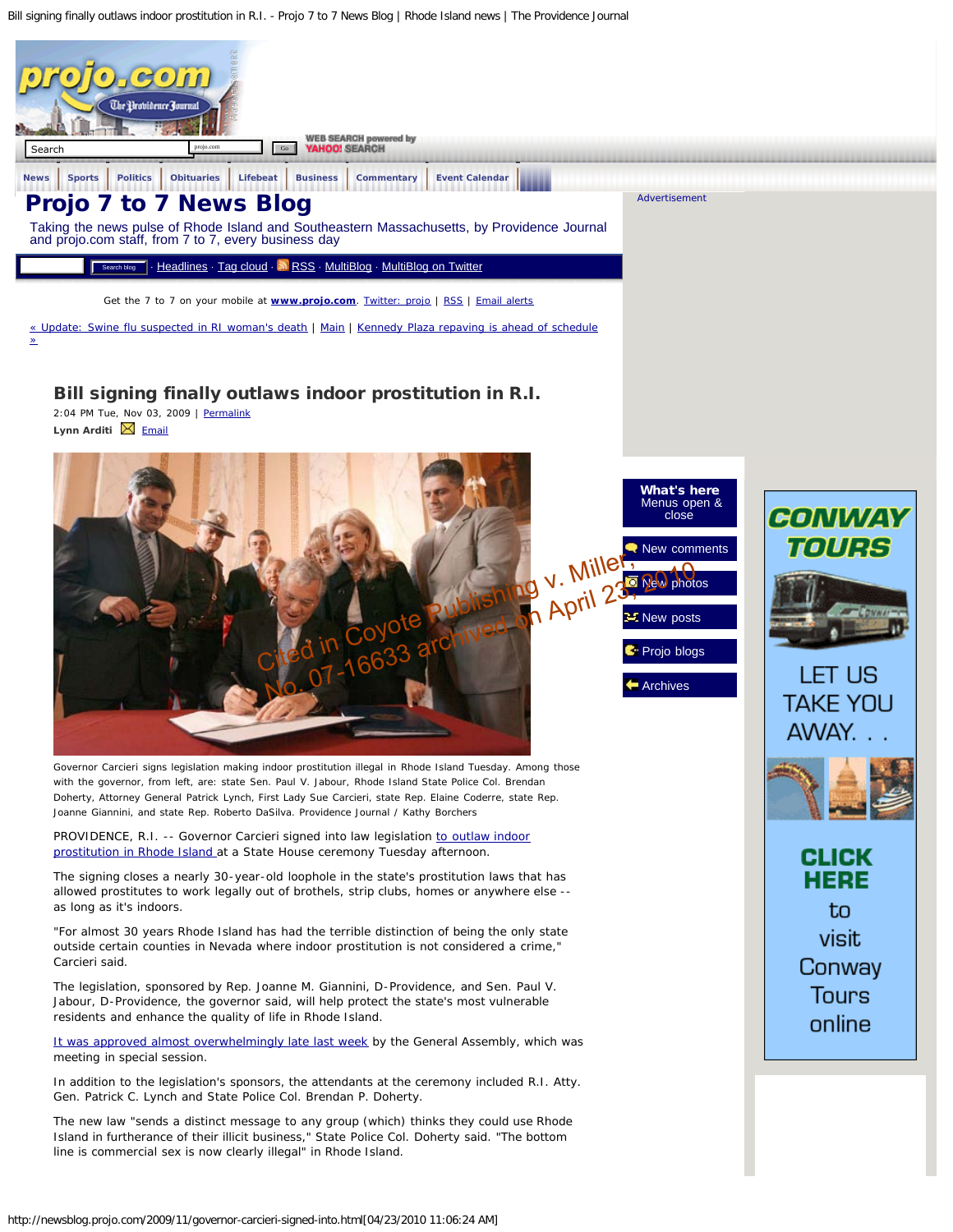<span id="page-0-0"></span>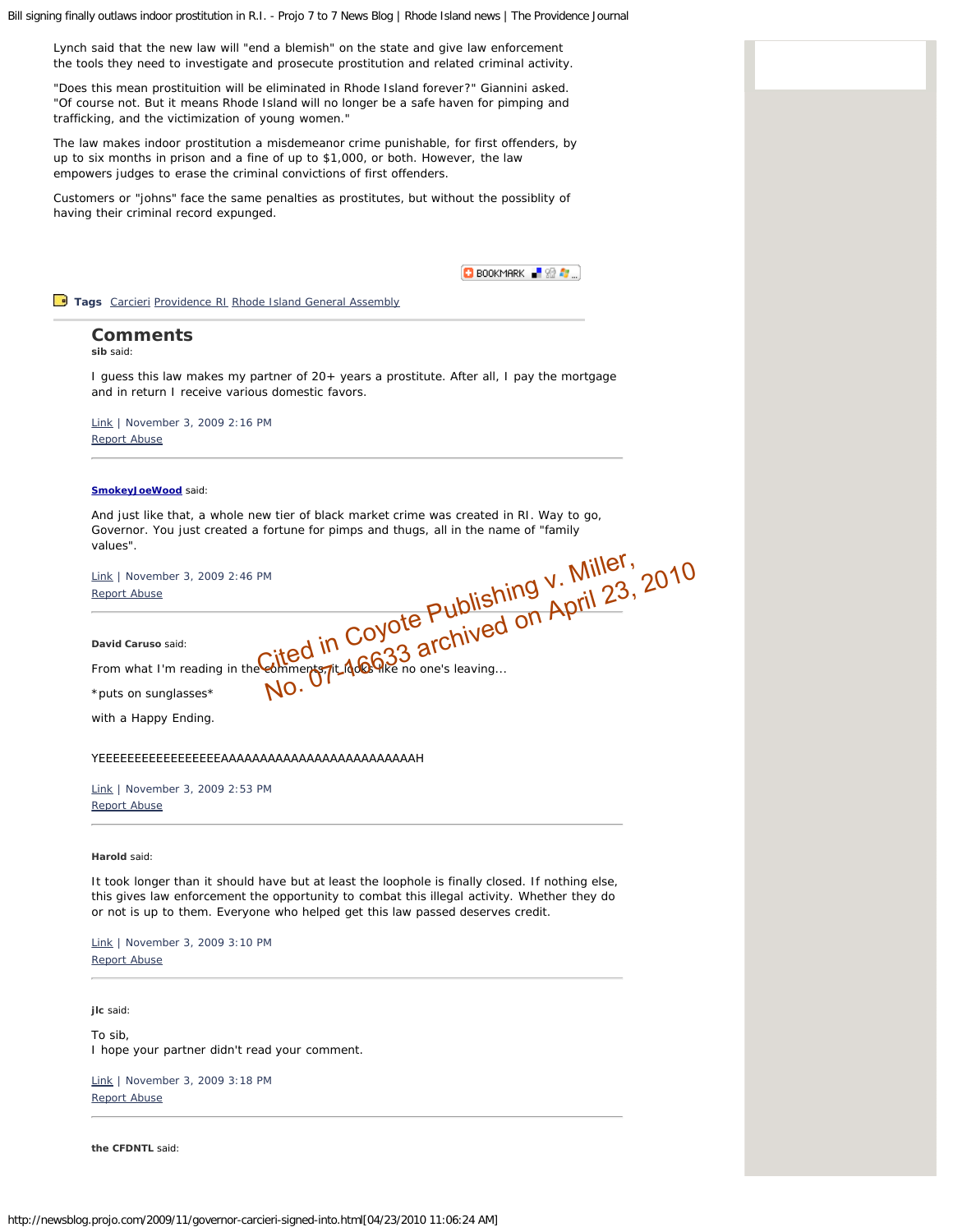Lynch said that the new law will "end a blemish" on the state and give law enforcement the tools they need to investigate and prosecute prostitution and related criminal activity.

"Does this mean prostituition will be eliminated in Rhode Island forever?" Giannini asked. "Of course not. But it means Rhode Island will no longer be a safe haven for pimping and trafficking, and the victimization of young women."

The law makes indoor prostitution a misdemeanor crime punishable, for first offenders, by up to six months in prison and a fine of up to \$1,000, or both. However, the law empowers judges to erase the criminal convictions of first offenders.

Customers or "johns" face the same penalties as prostitutes, but without the possiblity of having their criminal record expunged.



<span id="page-1-0"></span>**Tags** [Carcieri](http://news.beloblog.com/cgi-bin/mt/mt-search.cgi?blog_id=1078&tag=Carcieri&limit=20) [Providence RI](http://news.beloblog.com/cgi-bin/mt/mt-search.cgi?blog_id=1078&tag=Providence%20RI&limit=20) [Rhode Island General Assembly](http://news.beloblog.com/cgi-bin/mt/mt-search.cgi?blog_id=1078&tag=Rhode%20Island%20General%20Assembly&limit=20)

# **Comments**

**sib** said:

I guess this law makes my partner of 20+ years a prostitute. After all, I pay the mortgage and in return I receive various domestic favors.

[Link](#page-1-0) | November 3, 2009 2:16 PM [Report Abuse](http://abuse.projo.com/report_abuse.html)

# <span id="page-1-1"></span>**[SmokeyJoeWood](http://deweyshouse.com/)** said:

And just like that, a whole new tier of black market crime was created in RI. Way to go, Governor. You just created a fortune for pimps and thugs, all in the name of "family values".

[Link](#page-1-1) | November 3, 2009 2:46 PM [Report Abuse](http://abuse.projo.com/report_abuse.html) PM<br>
Cited in Coyote Publishing V. Miller, 23, 2010<br>
Septiment TLAGGRE no one's leaving...

<span id="page-1-2"></span>**David Caruso** said:

From what I'm reading in the comments, it looks like no one's leaving...

\*puts on sunglasses\*

with a Happy Ending.

# YEEEEEEEEEEEEEEEEEAAAAAAAAAAAAAAAAAAAAAAAAAH

[Link](#page-1-2) | November 3, 2009 2:53 PM [Report Abuse](http://abuse.projo.com/report_abuse.html)

<span id="page-1-3"></span>**Harold** said:

It took longer than it should have but at least the loophole is finally closed. If nothing else, this gives law enforcement the opportunity to combat this illegal activity. Whether they do or not is up to them. Everyone who helped get this law passed deserves credit.

[Link](#page-1-3) | November 3, 2009 3:10 PM [Report Abuse](http://abuse.projo.com/report_abuse.html)

<span id="page-1-4"></span>**jlc** said:

To sib, I hope your partner didn't read your comment.

[Link](#page-1-4) | November 3, 2009 3:18 PM [Report Abuse](http://abuse.projo.com/report_abuse.html)

**the CFDNTL** said: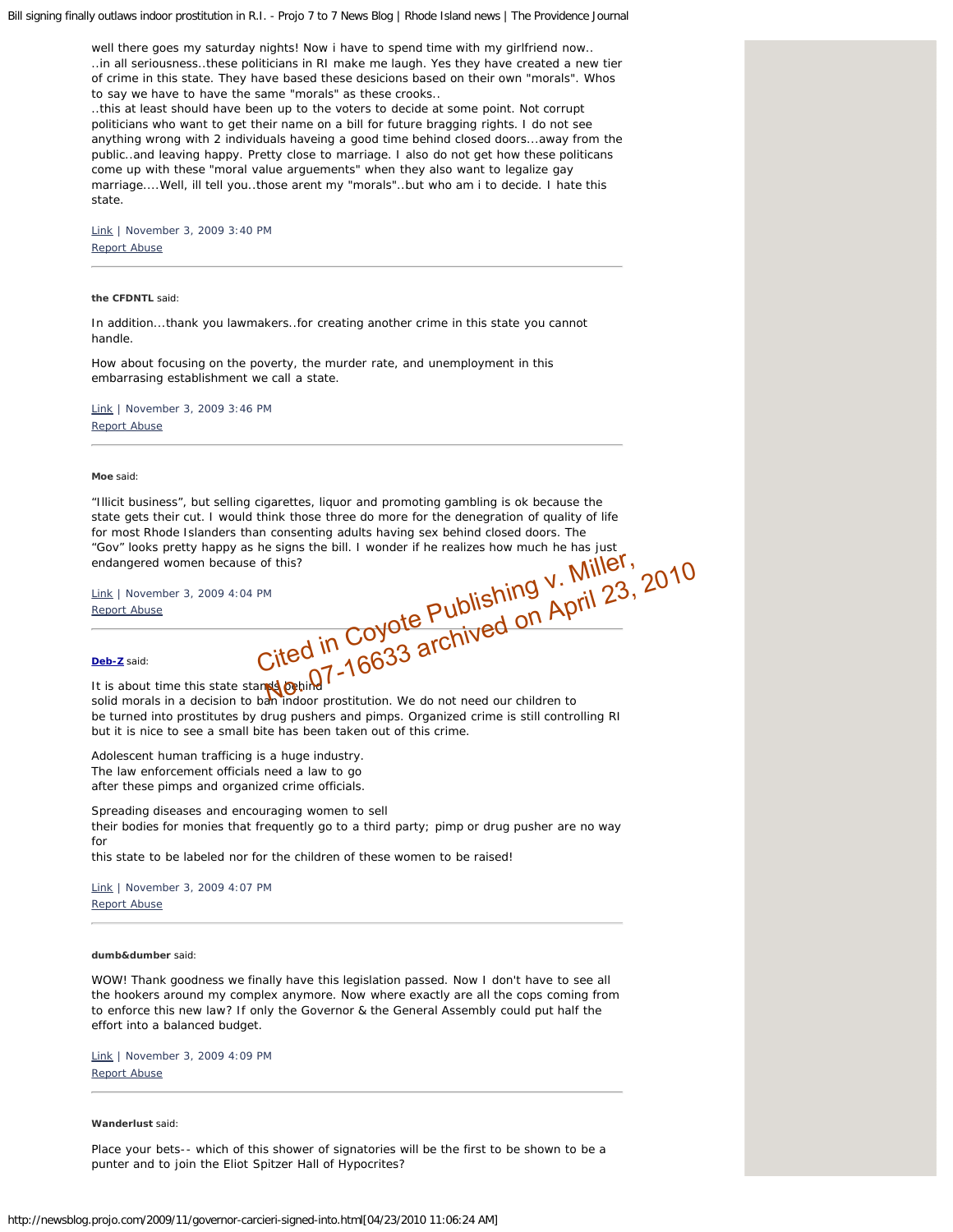<span id="page-2-0"></span>well there goes my saturday nights! Now i have to spend time with my girlfriend now.. ..in all seriousness..these politicians in RI make me laugh. Yes they have created a new tier of crime in this state. They have based these desicions based on their own "morals". Whos to say we have to have the same "morals" as these crooks..

..this at least should have been up to the voters to decide at some point. Not corrupt politicians who want to get their name on a bill for future bragging rights. I do not see anything wrong with 2 individuals haveing a good time behind closed doors...away from the public..and leaving happy. Pretty close to marriage. I also do not get how these politicans come up with these "moral value arguements" when they also want to legalize gay marriage....Well, ill tell you..those arent my "morals"..but who am i to decide. I hate this state.

[Link](#page-2-0) | November 3, 2009 3:40 PM [Report Abuse](http://abuse.projo.com/report_abuse.html)

# <span id="page-2-1"></span>**the CFDNTL** said:

In addition...thank you lawmakers..for creating another crime in this state you cannot handle.

How about focusing on the poverty, the murder rate, and unemployment in this embarrasing establishment we call a state.

[Link](#page-2-1) | November 3, 2009 3:46 PM [Report Abuse](http://abuse.projo.com/report_abuse.html)

## <span id="page-2-2"></span>**Moe** said:

"Illicit business", but selling cigarettes, liquor and promoting gambling is ok because the state gets their cut. I would think those three do more for the denegration of quality of life for most Rhode Islanders than consenting adults having sex behind closed doors. The<br>
"Gov" looks pretty happy as he signs the bill. I wonder if he realizes how much he has just<br>
endangered women because of this?<br>
Link | N "Gov" looks pretty happy as he signs the bill. I wonder if he realizes how much he has just endangered women because of this? of this?<br>
P<sup>M</sup><br>
Cited in Coyote Publishing V. Miller, 23, 2010<br>
Cited in Coyote Publishing V. April 23, 2010

[Link](#page-2-2) | November 3, 2009 4:04 PM [Report Abuse](http://abuse.projo.com/report_abuse.html)

#### <span id="page-2-3"></span>**[Deb-Z](http://lovely/)** said:

It is about time this state stands behind solid morals in a decision to ban indoor prostitution. We do not need our children to be turned into prostitutes by drug pushers and pimps. Organized crime is still controlling RI but it is nice to see a small bite has been taken out of this crime.

Adolescent human trafficing is a huge industry. The law enforcement officials need a law to go after these pimps and organized crime officials.

Spreading diseases and encouraging women to sell their bodies for monies that frequently go to a third party; pimp or drug pusher are no way for

this state to be labeled nor for the children of these women to be raised!

[Link](#page-2-3) | November 3, 2009 4:07 PM [Report Abuse](http://abuse.projo.com/report_abuse.html)

#### <span id="page-2-4"></span>**dumb&dumber** said:

WOW! Thank goodness we finally have this legislation passed. Now I don't have to see all the hookers around my complex anymore. Now where exactly are all the cops coming from to enforce this new law? If only the Governor & the General Assembly could put half the effort into a balanced budget.

[Link](#page-2-4) | November 3, 2009 4:09 PM [Report Abuse](http://abuse.projo.com/report_abuse.html)

# **Wanderlust** said:

Place your bets-- which of this shower of signatories will be the first to be shown to be a punter and to join the Eliot Spitzer Hall of Hypocrites?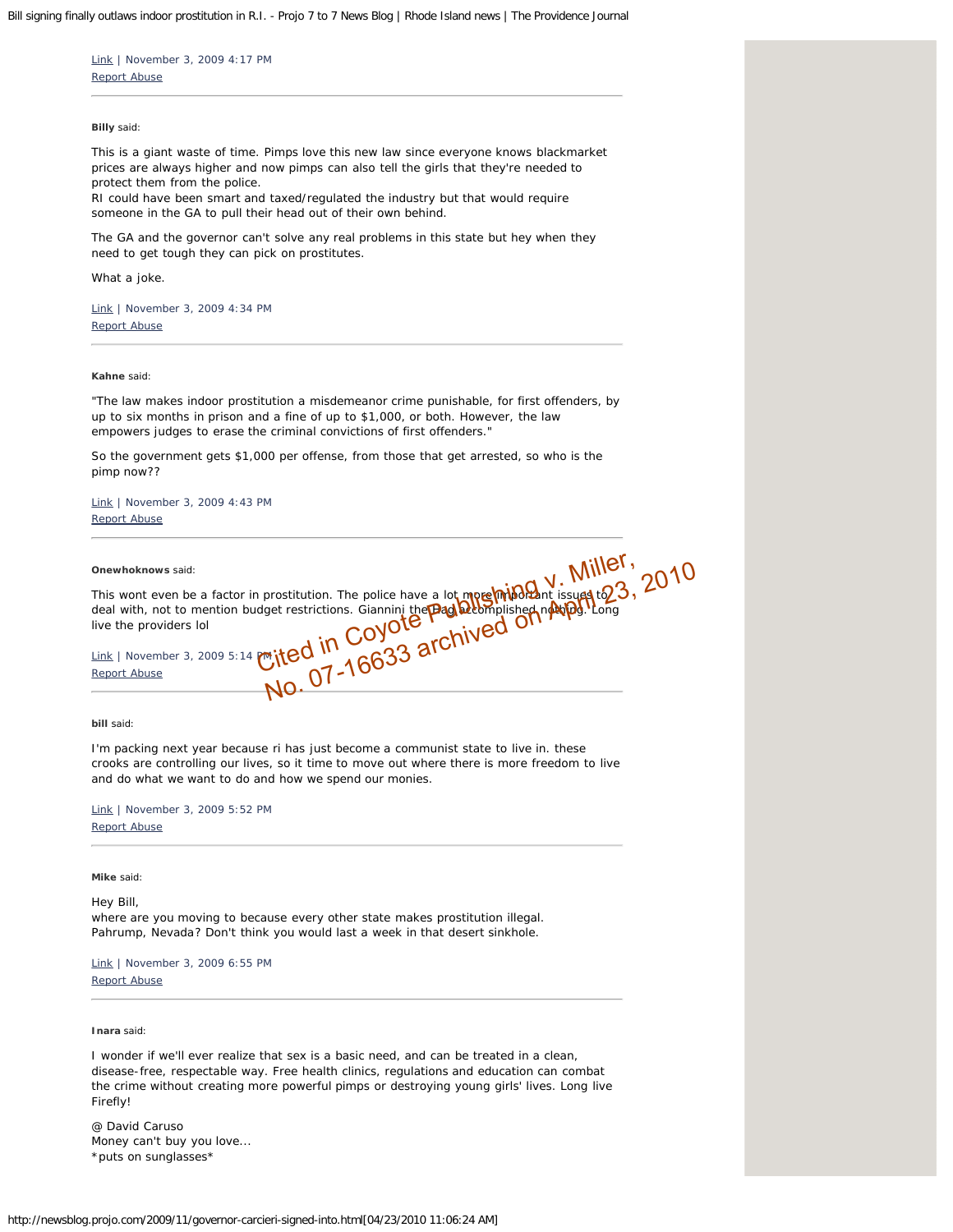<span id="page-3-0"></span>[Link](#page-3-0) | November 3, 2009 4:17 PM [Report Abuse](http://abuse.projo.com/report_abuse.html)

# <span id="page-3-1"></span>**Billy** said:

This is a giant waste of time. Pimps love this new law since everyone knows blackmarket prices are always higher and now pimps can also tell the girls that they're needed to protect them from the police. RI could have been smart and taxed/regulated the industry but that would require

someone in the GA to pull their head out of their own behind.

The GA and the governor can't solve any real problems in this state but hey when they need to get tough they can pick on prostitutes.

What a joke.

[Link](#page-3-1) | November 3, 2009 4:34 PM [Report Abuse](http://abuse.projo.com/report_abuse.html)

# <span id="page-3-2"></span>**Kahne** said:

"The law makes indoor prostitution a misdemeanor crime punishable, for first offenders, by up to six months in prison and a fine of up to \$1,000, or both. However, the law empowers judges to erase the criminal convictions of first offenders."

So the government gets \$1,000 per offense, from those that get arrested, so who is the pimp now??

[Link](#page-3-2) | November 3, 2009 4:43 PM [Report Abuse](http://abuse.projo.com/report_abuse.html)

**Onewhoknows** said:

<span id="page-3-3"></span>This wont even be a factor in prostitution. The police have a lot more important issues to deal with, not to mention budget restrictions. Giannini the **Hag accomplished nothing. Long** live the providers lol Onewhoknows said:<br>
This wont even be a factor in prostitution. The police have a lot mergel minor issues to 23, 2010<br>
deal with, not to mention budget restrictions. Giannini the **Padd Beomplished not Alped**. Long<br>
live the

[Link](#page-3-3) | November 3, 2009 5:14 PM

## <span id="page-3-4"></span>**bill** said:

I'm packing next year because ri has just become a communist state to live in. these crooks are controlling our lives, so it time to move out where there is more freedom to live and do what we want to do and how we spend our monies.

[Link](#page-3-4) | November 3, 2009 5:52 PM [Report Abuse](http://abuse.projo.com/report_abuse.html)

<span id="page-3-5"></span>**Mike** said:

Hey Bill,

where are you moving to because every other state makes prostitution illegal. Pahrump, Nevada? Don't think you would last a week in that desert sinkhole.

[Link](#page-3-5) | November 3, 2009 6:55 PM [Report Abuse](http://abuse.projo.com/report_abuse.html)

**Inara** said:

I wonder if we'll ever realize that sex is a basic need, and can be treated in a clean, disease-free, respectable way. Free health clinics, regulations and education can combat the crime without creating more powerful pimps or destroying young girls' lives. Long live Firefly!

@ David Caruso Money can't buy you love... \*puts on sunglasses\*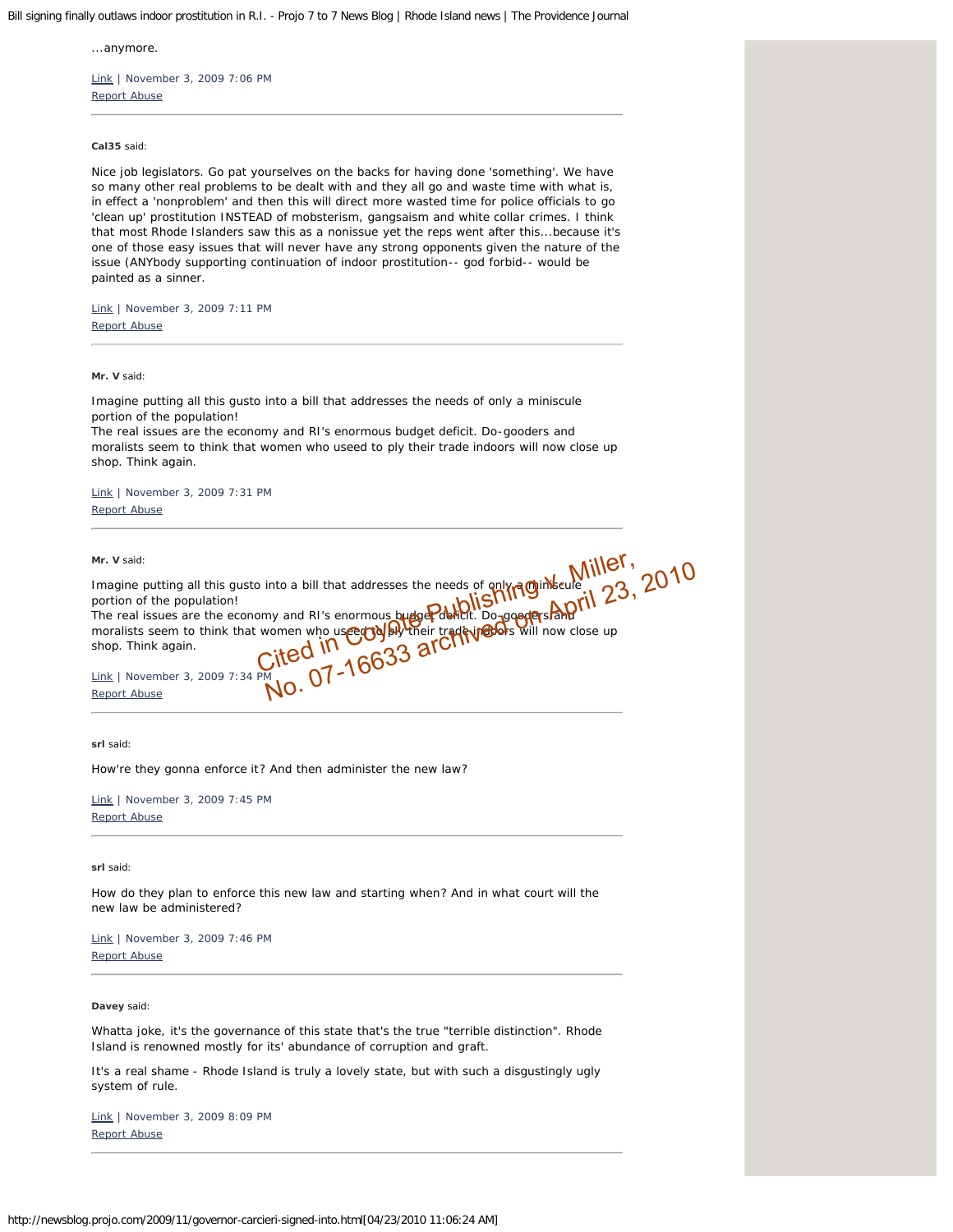<span id="page-4-0"></span>...anymore.

[Link](#page-4-0) | November 3, 2009 7:06 PM [Report Abuse](http://abuse.projo.com/report_abuse.html)

<span id="page-4-1"></span>**Cal35** said:

Nice job legislators. Go pat yourselves on the backs for having done 'something'. We have so many other real problems to be dealt with and they all go and waste time with what is, in effect a 'nonproblem' and then this will direct more wasted time for police officials to go 'clean up' prostitution INSTEAD of mobsterism, gangsaism and white collar crimes. I think that most Rhode Islanders saw this as a nonissue yet the reps went after this...because it's one of those easy issues that will never have any strong opponents given the nature of the issue (ANYbody supporting continuation of indoor prostitution-- god forbid-- would be painted as a sinner.

[Link](#page-4-1) | November 3, 2009 7:11 PM [Report Abuse](http://abuse.projo.com/report_abuse.html)

<span id="page-4-2"></span>**Mr. V** said:

Imagine putting all this gusto into a bill that addresses the needs of only a miniscule portion of the population!

The real issues are the economy and RI's enormous budget deficit. Do-gooders and moralists seem to think that women who useed to ply their trade indoors will now close up shop. Think again.

[Link](#page-4-2) | November 3, 2009 7:31 PM [Report Abuse](http://abuse.projo.com/report_abuse.html)

**Mr. V** said:

<span id="page-4-3"></span>Imagine putting all this gusto into a bill that addresses the needs of only a miniscule portion of the population! The real issues are the economy and RI's enormous budget deficit. Do-gooders and moralists seem to think that women who useed to ply their trade in the will now close up shop. Think again. o into a bill that addresses the needs of gnive Miller, 23, 2010<br>
Somy and RI's enormous budge Paulot. Do-googles April 23, 2010<br>
women who use coyou their traditional will now close up<br>
Cited in 16633 archived is will now

[Link](#page-4-3) | November 3, 2009 7:34 PM [Report Abuse](http://abuse.projo.com/report_abuse.html)

<span id="page-4-4"></span>**srl** said:

How're they gonna enforce it? And then administer the new law?

[Link](#page-4-4) | November 3, 2009 7:45 PM [Report Abuse](http://abuse.projo.com/report_abuse.html)

<span id="page-4-5"></span>**srl** said:

How do they plan to enforce this new law and starting when? And in what court will the new law be administered?

[Link](#page-4-5) | November 3, 2009 7:46 PM [Report Abuse](http://abuse.projo.com/report_abuse.html)

<span id="page-4-6"></span>**Davey** said:

Whatta joke, it's the governance of this state that's the true "terrible distinction". Rhode Island is renowned mostly for its' abundance of corruption and graft.

It's a real shame - Rhode Island is truly a lovely state, but with such a disgustingly ugly system of rule.

[Link](#page-4-6) | November 3, 2009 8:09 PM [Report Abuse](http://abuse.projo.com/report_abuse.html)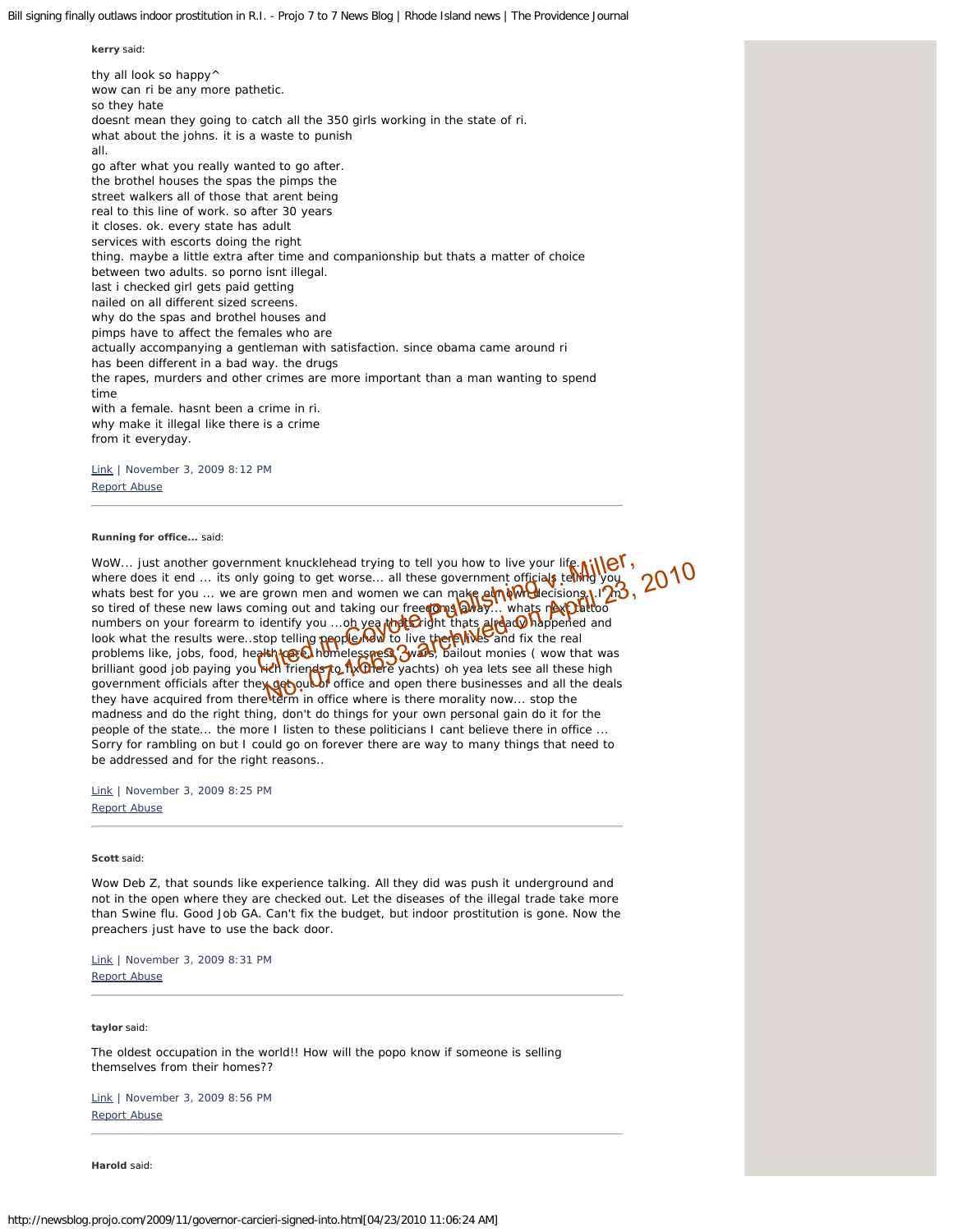thy all look so happy<sup> $\wedge$ </sup> wow can ri be any more pathetic. so they hate doesnt mean they going to catch all the 350 girls working in the state of ri. what about the johns. it is a waste to punish all. go after what you really wanted to go after. the brothel houses the spas the pimps the street walkers all of those that arent being real to this line of work. so after 30 years it closes. ok. every state has adult services with escorts doing the right thing. maybe a little extra after time and companionship but thats a matter of choice between two adults. so porno isnt illegal. last i checked girl gets paid getting nailed on all different sized screens. why do the spas and brothel houses and pimps have to affect the females who are actually accompanying a gentleman with satisfaction. since obama came around ri has been different in a bad way. the drugs the rapes, murders and other crimes are more important than a man wanting to spend time with a female. hasnt been a crime in ri. why make it illegal like there is a crime from it everyday.

[Link](#page-5-0) | November 3, 2009 8:12 PM [Report Abuse](http://abuse.projo.com/report_abuse.html)

<span id="page-5-1"></span>**Running for office...** said:

<span id="page-5-0"></span>**kerry** said:

WoW... just another government knucklehead trying to tell you how to live your life. where does it end ... its only going to get worse... all these government officials telling you whats best for you ... we are grown men and women we can make  $\frac{d}{dt}$  where  $\frac{d}{dt}$  if  $\frac{1}{2}$ so tired of these new laws coming out and taking our freedoms and taking... whats next the to numbers on your forearm to identify you ...oh yea that Cright thats already happened and look what the results were..stop telling people how to live the real fix the real problems like, jobs, food, health care, homelessness, wars, bailout monies ( wow that was WoW... just another government knucklehead trying to tell you how to live your life with where does it end ... its only going to get worse... all these government officials telling you whats best for you ... we are grown m government officials after the **yderbourdi**f office and open there businesses and all the deals they have acquired from there term in office where is there morality now... stop the madness and do the right thing, don't do things for your own personal gain do it for the people of the state... the more I listen to these politicians I cant believe there in office ... Sorry for rambling on but I could go on forever there are way to many things that need to be addressed and for the right reasons..

[Link](#page-5-1) | November 3, 2009 8:25 PM

[Report Abuse](http://abuse.projo.com/report_abuse.html)

<span id="page-5-2"></span>**Scott** said:

Wow Deb Z, that sounds like experience talking. All they did was push it underground and not in the open where they are checked out. Let the diseases of the illegal trade take more than Swine flu. Good Job GA. Can't fix the budget, but indoor prostitution is gone. Now the preachers just have to use the back door.

[Link](#page-5-2) | November 3, 2009 8:31 PM [Report Abuse](http://abuse.projo.com/report_abuse.html)

<span id="page-5-3"></span>**taylor** said:

The oldest occupation in the world!! How will the popo know if someone is selling themselves from their homes??

[Link](#page-5-3) | November 3, 2009 8:56 PM [Report Abuse](http://abuse.projo.com/report_abuse.html)

**Harold** said: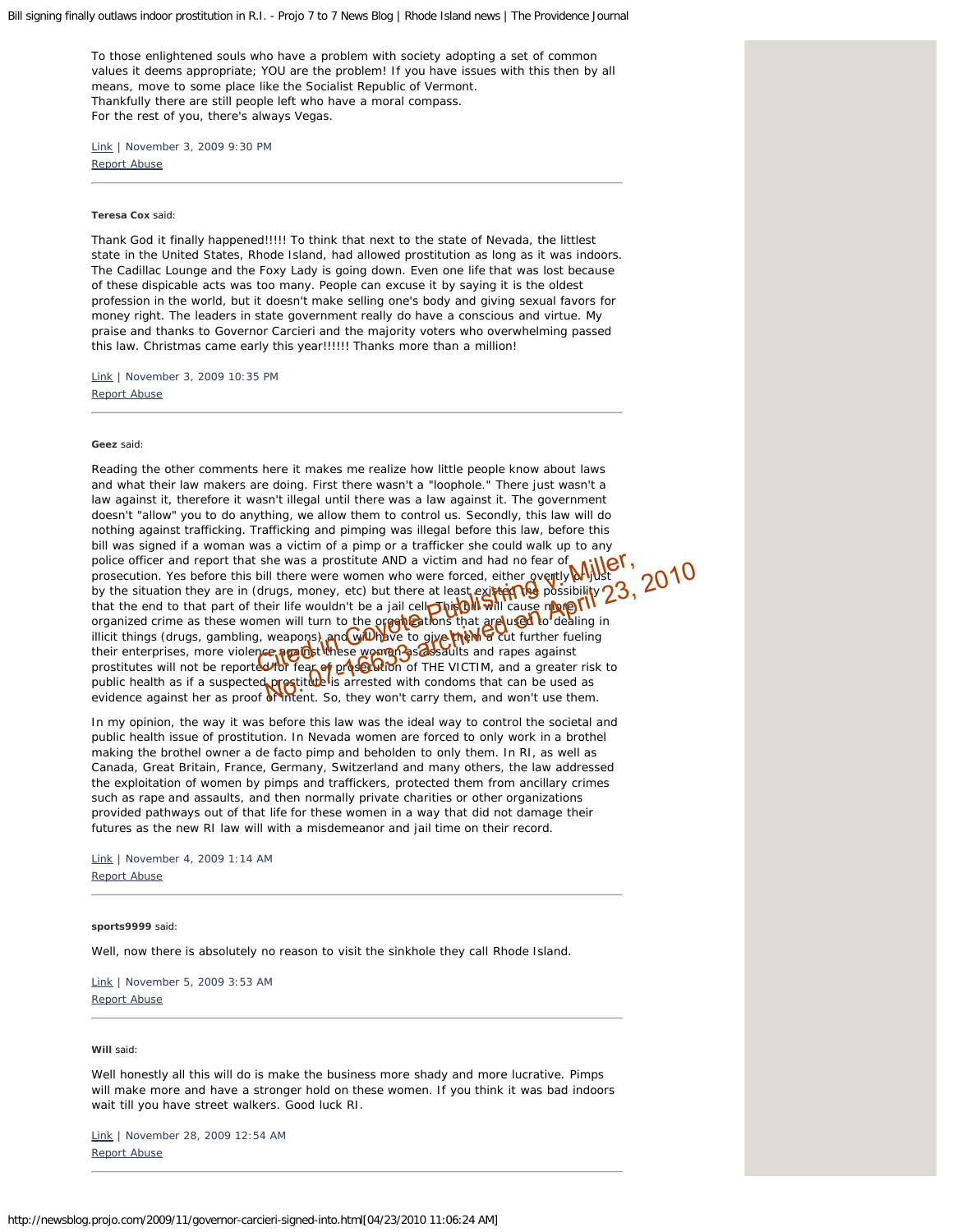<span id="page-6-0"></span>To those enlightened souls who have a problem with society adopting a set of common values it deems appropriate; YOU are the problem! If you have issues with this then by all means, move to some place like the Socialist Republic of Vermont. Thankfully there are still people left who have a moral compass. For the rest of you, there's always Vegas.

[Link](#page-6-0) | November 3, 2009 9:30 PM [Report Abuse](http://abuse.projo.com/report_abuse.html)

#### <span id="page-6-1"></span>**Teresa Cox** said:

Thank God it finally happened!!!!! To think that next to the state of Nevada, the littlest state in the United States, Rhode Island, had allowed prostitution as long as it was indoors. The Cadillac Lounge and the Foxy Lady is going down. Even one life that was lost because of these dispicable acts was too many. People can excuse it by saying it is the oldest profession in the world, but it doesn't make selling one's body and giving sexual favors for money right. The leaders in state government really do have a conscious and virtue. My praise and thanks to Governor Carcieri and the majority voters who overwhelming passed this law. Christmas came early this year!!!!!! Thanks more than a million!

[Link](#page-6-1) | November 3, 2009 10:35 PM [Report Abuse](http://abuse.projo.com/report_abuse.html)

<span id="page-6-2"></span>**Geez** said:

Reading the other comments here it makes me realize how little people know about laws and what their law makers are doing. First there wasn't a "loophole." There just wasn't a law against it, therefore it wasn't illegal until there was a law against it. The government doesn't "allow" you to do anything, we allow them to control us. Secondly, this law will do nothing against trafficking. Trafficking and pimping was illegal before this law, before this bill was signed if a woman was a victim of a pimp or a trafficker she could walk up to any police officer and report that she was a prostitute AND a victim and had no fear of prosecution. Yes before this bill there were women who were forced, either overtly **or yide** by the situation they are in (drugs, money, etc) but there at least existed the possibility that the end to that part of their life wouldn't be a jail cell **This Bill will** cause more organized crime as these women will turn to the organizations that are used to dealing in illicit things (drugs, gambling, weapons) and will have to give them a cut further fueling their enterprises, more violence against these women as assaults and rapes against prostitutes will not be reported for fear of proscution of THE VICTIM, and a greater risk to public health as if a suspected prostitute is arrested with condoms that can be used as evidence against her as proof of intent. So, they won't carry them, and won't use them. she was a prostitute AND a victim and had no fear of **Aliller**,<br>
bill there were women who were forced, either overtly Mullst<br>
drugs, money, etc) but there at least existing to ossibility 23,<br>
their life wouldn't be a jail

In my opinion, the way it was before this law was the ideal way to control the societal and public health issue of prostitution. In Nevada women are forced to only work in a brothel making the brothel owner a de facto pimp and beholden to only them. In RI, as well as Canada, Great Britain, France, Germany, Switzerland and many others, the law addressed the exploitation of women by pimps and traffickers, protected them from ancillary crimes such as rape and assaults, and then normally private charities or other organizations provided pathways out of that life for these women in a way that did not damage their futures as the new RI law will with a misdemeanor and jail time on their record.

[Link](#page-6-2) | November 4, 2009 1:14 AM [Report Abuse](http://abuse.projo.com/report_abuse.html)

<span id="page-6-3"></span>**sports9999** said:

Well, now there is absolutely no reason to visit the sinkhole they call Rhode Island.

[Link](#page-6-3) | November 5, 2009 3:53 AM [Report Abuse](http://abuse.projo.com/report_abuse.html)

<span id="page-6-4"></span>**Will** said:

Well honestly all this will do is make the business more shady and more lucrative. Pimps will make more and have a stronger hold on these women. If you think it was bad indoors wait till you have street walkers. Good luck RI.

[Link](#page-6-4) | November 28, 2009 12:54 AM [Report Abuse](http://abuse.projo.com/report_abuse.html)